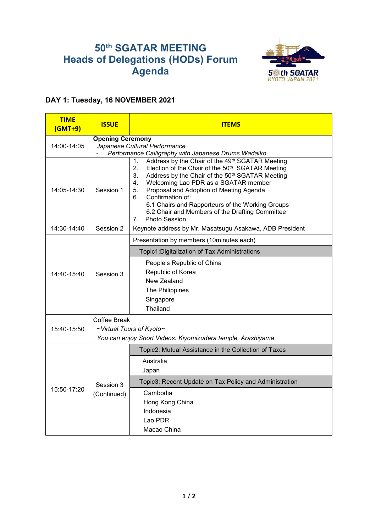## **50 th SGATAR MEETING Heads of Delegations (HODs) Forum Agenda**



## **DAY 1: Tuesday, 16 NOVEMBER 2021**

| <b>TIME</b><br>$(GMT+9)$ | <b>ISSUE</b>                                                                                                 | <b>ITEMS</b>                                                                                                                                                                                                                                                                                                                                                                                |  |
|--------------------------|--------------------------------------------------------------------------------------------------------------|---------------------------------------------------------------------------------------------------------------------------------------------------------------------------------------------------------------------------------------------------------------------------------------------------------------------------------------------------------------------------------------------|--|
|                          | <b>Opening Ceremony</b>                                                                                      |                                                                                                                                                                                                                                                                                                                                                                                             |  |
| 14:00-14:05              | Japanese Cultural Performance                                                                                |                                                                                                                                                                                                                                                                                                                                                                                             |  |
|                          | Performance Calligraphy with Japanese Drums Wadaiko<br>Address by the Chair of the 49th SGATAR Meeting<br>1. |                                                                                                                                                                                                                                                                                                                                                                                             |  |
| 14:05-14:30              | Session 1                                                                                                    | 2.<br>Election of the Chair of the 50 <sup>th</sup> SGATAR Meeting<br>3.<br>Address by the Chair of the 50 <sup>th</sup> SGATAR Meeting<br>4.<br>Welcoming Lao PDR as a SGATAR member<br>5.<br>Proposal and Adoption of Meeting Agenda<br>Confirmation of:<br>6.<br>6.1 Chairs and Rapporteurs of the Working Groups<br>6.2 Chair and Members of the Drafting Committee<br>7. Photo Session |  |
| 14:30-14:40              | Session 2                                                                                                    | Keynote address by Mr. Masatsugu Asakawa, ADB President                                                                                                                                                                                                                                                                                                                                     |  |
| 14:40-15:40              | Session 3                                                                                                    | Presentation by members (10minutes each)                                                                                                                                                                                                                                                                                                                                                    |  |
|                          |                                                                                                              | Topic1: Digitalization of Tax Administrations                                                                                                                                                                                                                                                                                                                                               |  |
|                          |                                                                                                              | People's Republic of China<br>Republic of Korea<br>New Zealand<br>The Philippines<br>Singapore<br>Thailand                                                                                                                                                                                                                                                                                  |  |
|                          | <b>Coffee Break</b>                                                                                          |                                                                                                                                                                                                                                                                                                                                                                                             |  |
| 15:40-15:50              | ~Virtual Tours of Kyoto~                                                                                     |                                                                                                                                                                                                                                                                                                                                                                                             |  |
|                          | You can enjoy Short Videos: Kiyomizudera temple, Arashiyama                                                  |                                                                                                                                                                                                                                                                                                                                                                                             |  |
| 15:50-17:20              | Session 3<br>(Continued)                                                                                     | Topic2: Mutual Assistance in the Collection of Taxes                                                                                                                                                                                                                                                                                                                                        |  |
|                          |                                                                                                              | Australia<br>Japan                                                                                                                                                                                                                                                                                                                                                                          |  |
|                          |                                                                                                              | Topic3: Recent Update on Tax Policy and Administration                                                                                                                                                                                                                                                                                                                                      |  |
|                          |                                                                                                              | Cambodia<br>Hong Kong China<br>Indonesia<br>Lao PDR<br>Macao China                                                                                                                                                                                                                                                                                                                          |  |
|                          |                                                                                                              |                                                                                                                                                                                                                                                                                                                                                                                             |  |